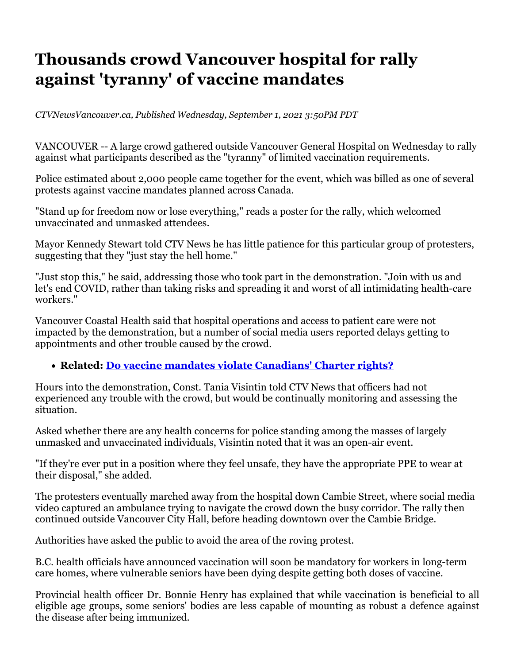## **Thousands crowd Vancouver hospital for rally against 'tyranny' of vaccine mandates**

*CTVNewsVancouver.ca, Published Wednesday, September 1, 2021 3:50PM PDT* 

VANCOUVER -- A large crowd gathered outside Vancouver General Hospital on Wednesday to rally against what participants described as the "tyranny" of limited vaccination requirements.

Police estimated about 2,000 people came together for the event, which was billed as one of several protests against vaccine mandates planned across Canada.

"Stand up for freedom now or lose everything," reads a poster for the rally, which welcomed unvaccinated and unmasked attendees.

Mayor Kennedy Stewart told CTV News he has little patience for this particular group of protesters, suggesting that they "just stay the hell home."

"Just stop this," he said, addressing those who took part in the demonstration. "Join with us and let's end COVID, rather than taking risks and spreading it and worst of all intimidating health-care workers."

Vancouver Coastal Health said that hospital operations and access to patient care were not impacted by the demonstration, but a number of social media users reported delays getting to appointments and other trouble caused by the crowd.

## **Related: Do vaccine mandates violate Canadians' Charter rights?**

Hours into the demonstration, Const. Tania Visintin told CTV News that officers had not experienced any trouble with the crowd, but would be continually monitoring and assessing the situation.

Asked whether there are any health concerns for police standing among the masses of largely unmasked and unvaccinated individuals, Visintin noted that it was an open-air event.

"If they're ever put in a position where they feel unsafe, they have the appropriate PPE to wear at their disposal," she added.

The protesters eventually marched away from the hospital down Cambie Street, where social media video captured an ambulance trying to navigate the crowd down the busy corridor. The rally then continued outside Vancouver City Hall, before heading downtown over the Cambie Bridge.

Authorities have asked the public to avoid the area of the roving protest.

B.C. health officials have announced vaccination will soon be mandatory for workers in long-term care homes, where vulnerable seniors have been dying despite getting both doses of vaccine.

Provincial health officer Dr. Bonnie Henry has explained that while vaccination is beneficial to all eligible age groups, some seniors' bodies are less capable of mounting as robust a defence against the disease after being immunized.